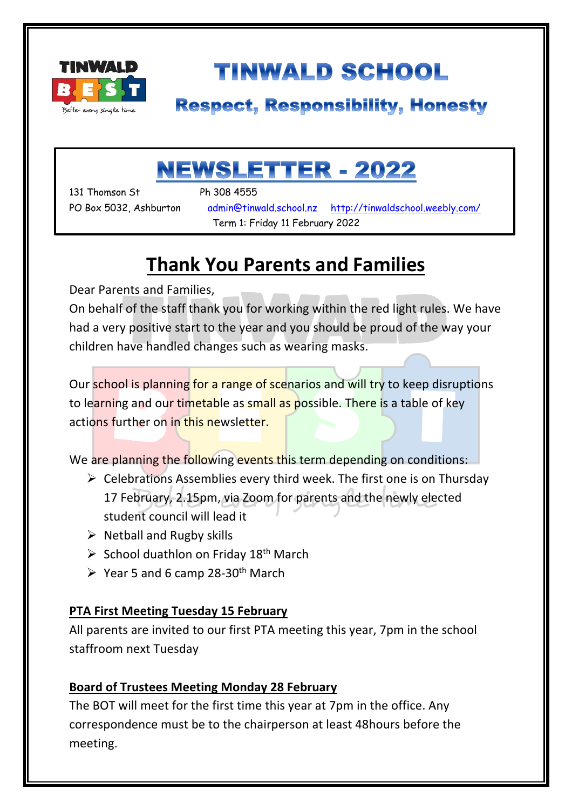

# **TINWALD SCHOOL**

### **Respect, Responsibility, Honesty**

# **NEWSLETTER - 2022**

131 Thomson St Ph 308 4555

۱

PO Box 5032, Ashburton admin@tinwald.school.nz http://tinwaldschool.weebly.com/ Term 1: Friday 11 February 2022

### **Thank You Parents and Families**

Dear Parents and Families,

On behalf of the staff thank you for working within the red light rules. We have had a very positive start to the year and you should be proud of the way your children have handled changes such as wearing masks.

Our school is planning for a range of scenarios and will try to keep disruptions to learning and our timetable as small as possible. There is a table of key actions further on in this newsletter.

We are planning the following events this term depending on conditions:

- $\triangleright$  Celebrations Assemblies every third week. The first one is on Thursday 17 February, 2.15pm, via Zoom for parents and the newly elected student council will lead it
- $\triangleright$  Netball and Rugby skills
- $\triangleright$  School duathlon on Friday 18<sup>th</sup> March
- $\triangleright$  Year 5 and 6 camp 28-30<sup>th</sup> March

#### **PTA First Meeting Tuesday 15 February**

All parents are invited to our first PTA meeting this year, 7pm in the school staffroom next Tuesday

#### **Board of Trustees Meeting Monday 28 February**

The BOT will meet for the first time this year at 7pm in the office. Any correspondence must be to the chairperson at least 48hours before the meeting.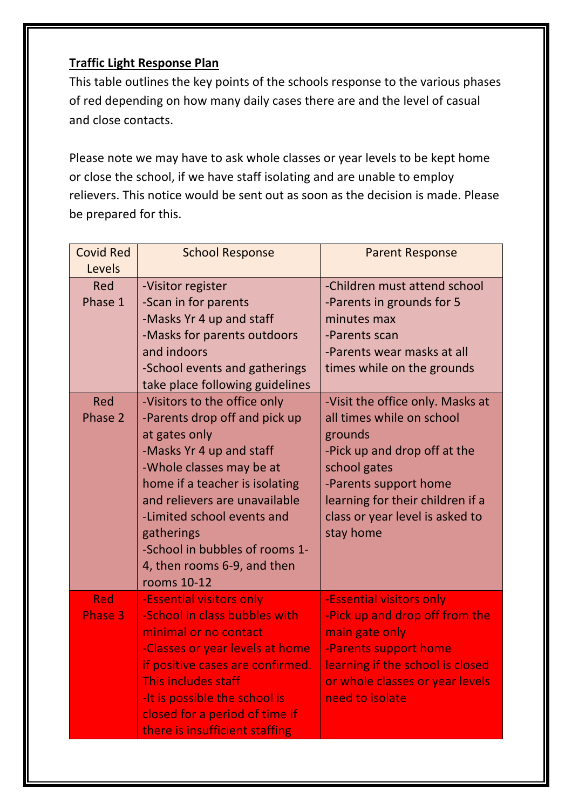#### **Traffic Light Response Plan**

This table outlines the key points of the schools response to the various phases of red depending on how many daily cases there are and the level of casual and close contacts.

Please note we may have to ask whole classes or year levels to be kept home or close the school, if we have staff isolating and are unable to employ relievers. This notice would be sent out as soon as the decision is made. Please be prepared for this.

| <b>Covid Red</b><br>Levels   | <b>School Response</b>                                                                                                                                                                                                                                                                                                                | <b>Parent Response</b>                                                                                                                                                                                                                |
|------------------------------|---------------------------------------------------------------------------------------------------------------------------------------------------------------------------------------------------------------------------------------------------------------------------------------------------------------------------------------|---------------------------------------------------------------------------------------------------------------------------------------------------------------------------------------------------------------------------------------|
| Red<br>Phase 1               | -Visitor register<br>-Scan in for parents<br>-Masks Yr 4 up and staff<br>-Masks for parents outdoors<br>and indoors<br>-School events and gatherings<br>take place following guidelines                                                                                                                                               | -Children must attend school<br>-Parents in grounds for 5<br>minutes max<br>-Parents scan<br>-Parents wear masks at all<br>times while on the grounds                                                                                 |
| Red<br>Phase 2               | -Visitors to the office only<br>-Parents drop off and pick up<br>at gates only<br>-Masks Yr 4 up and staff<br>-Whole classes may be at<br>home if a teacher is isolating<br>and relievers are unavailable<br>-Limited school events and<br>gatherings<br>-School in bubbles of rooms 1-<br>4, then rooms 6-9, and then<br>rooms 10-12 | -Visit the office only. Masks at<br>all times while on school<br>grounds<br>-Pick up and drop off at the<br>school gates<br>-Parents support home<br>learning for their children if a<br>class or year level is asked to<br>stay home |
| <b>Red</b><br><b>Phase 3</b> | -Essential visitors only<br>-School in class bubbles with<br>minimal or no contact<br>-Classes or year levels at home<br>if positive cases are confirmed.<br>This includes staff<br>-It is possible the school is<br>closed for a period of time if<br>there is insufficient staffing                                                 | -Essential visitors only<br>-Pick up and drop off from the<br>main gate only<br>-Parents support home<br>learning if the school is closed<br>or whole classes or year levels<br>need to isolate                                       |